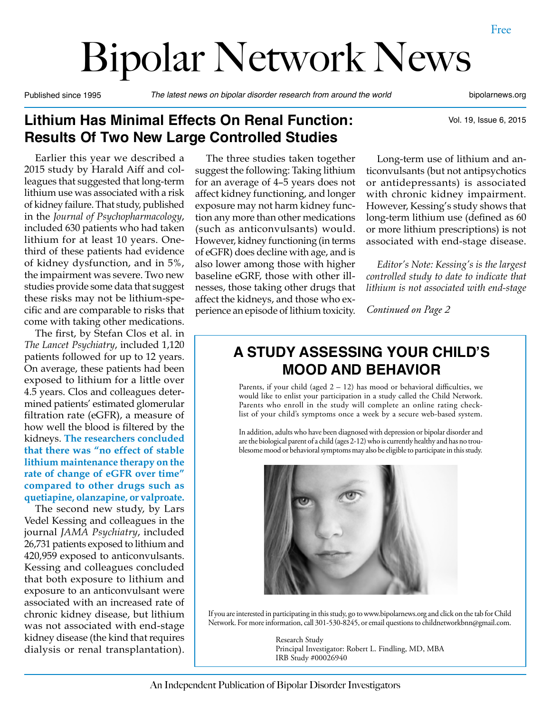Vol. 19, Issue 6, 2015

# Bipolar Network News

Published since 1995 *The latest news on bipolar disorder research from around the world* bipolarnews.org

# **Lithium Has Minimal Effects On Renal Function: Results Of Two New Large Controlled Studies**

Earlier this year we described a 2015 study by Harald Aiff and colleagues that suggested that long-term lithium use was associated with a risk of kidney failure. That study, published in the *Journal of Psychopharmacology*, included 630 patients who had taken lithium for at least 10 years. Onethird of these patients had evidence of kidney dysfunction, and in 5%, the impairment was severe. Two new studies provide some data that suggest these risks may not be lithium-specific and are comparable to risks that come with taking other medications.

The first, by Stefan Clos et al. in *The Lancet Psychiatry*, included 1,120 patients followed for up to 12 years. On average, these patients had been exposed to lithium for a little over 4.5 years. Clos and colleagues determined patients' estimated glomerular filtration rate (eGFR), a measure of how well the blood is filtered by the kidneys. **The researchers concluded that there was "no effect of stable lithium maintenance therapy on the rate of change of eGFR over time" compared to other drugs such as quetiapine, olanzapine, or valproate.**

The second new study, by Lars Vedel Kessing and colleagues in the journal *JAMA Psychiatry*, included 26,731 patients exposed to lithium and 420,959 exposed to anticonvulsants. Kessing and colleagues concluded that both exposure to lithium and exposure to an anticonvulsant were associated with an increased rate of chronic kidney disease, but lithium was not associated with end-stage kidney disease (the kind that requires dialysis or renal transplantation).

The three studies taken together suggest the following: Taking lithium for an average of 4–5 years does not affect kidney functioning, and longer exposure may not harm kidney function any more than other medications (such as anticonvulsants) would. However, kidney functioning (in terms of eGFR) does decline with age, and is also lower among those with higher baseline eGRF, those with other illnesses, those taking other drugs that affect the kidneys, and those who experience an episode of lithium toxicity.

Long-term use of lithium and anticonvulsants (but not antipsychotics or antidepressants) is associated with chronic kidney impairment. However, Kessing's study shows that long-term lithium use (defined as 60 or more lithium prescriptions) is not associated with end-stage disease.

*Editor's Note: Kessing's is the largest controlled study to date to indicate that lithium is not associated with end-stage* 

*Continued on Page 2*

# **A STUDY ASSESSING YOUR CHILD'S MOOD AND BEHAVIOR**

Parents, if your child (aged  $2 - 12$ ) has mood or behavioral difficulties, we would like to enlist your participation in a study called the Child Network. Parents who enroll in the study will complete an online rating checklist of your child's symptoms once a week by a secure web-based system.

In addition, adults who have been diagnosed with depression or bipolar disorder and are the biological parent of a child (ages 2-12) who is currently healthy and has no troublesome mood or behavioral symptoms may also be eligible to participate in this study.



If you are interested in participating in this study, go to www.bipolarnews.org and click on the tab for Child Network. For more information, call 301-530-8245, or email questions to childnetworkbnn@gmail.com.

> Research Study Principal Investigator: Robert L. Findling, MD, MBA IRB Study #00026940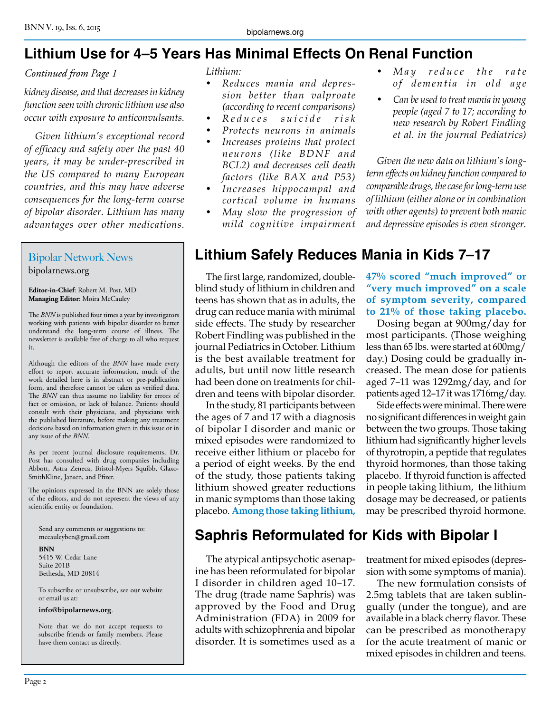# **Lithium Use for 4–5 Years Has Minimal Effects On Renal Function**

#### *Continued from Page 1*

*kidney disease, and that decreases in kidney function seen with chronic lithium use also occur with exposure to anticonvulsants.*

*Given lithium's exceptional record of efficacy and safety over the past 40 years, it may be under-prescribed in the US compared to many European countries, and this may have adverse consequences for the long-term course of bipolar disorder. Lithium has many advantages over other medications.* 

#### Bipolar Network News bipolarnews.org

**Editor-in-Chief**: Robert M. Post, MD **Managing Editor**: Moira McCauley

The *BNN* is published four times a year by investigators working with patients with bipolar disorder to better understand the long-term course of illness. The newsletter is available free of charge to all who request it.

Although the editors of the *BNN* have made every effort to report accurate information, much of the work detailed here is in abstract or pre-publication form, and therefore cannot be taken as verified data. The *BNN* can thus assume no liability for errors of fact or omission, or lack of balance. Patients should consult with their physicians, and physicians with the published literature, before making any treatment decisions based on information given in this issue or in any issue of the *BNN*.

As per recent journal disclosure requirements, Dr. Post has consulted with drug companies including Abbott, Astra Zeneca, Bristol-Myers Squibb, Glaxo-SmithKline, Jansen, and Pfizer.

The opinions expressed in the BNN are solely those of the editors, and do not represent the views of any scientific entity or foundation.

Send any comments or suggestions to: mccauleybcn@gmail.com

**BNN** 5415 W. Cedar Lane Suite 201B Bethesda, MD 20814

To subscribe or unsubscribe, see our website or email us at:

#### **info@bipolarnews.org**.

Note that we do not accept requests to subscribe friends or family members. Please have them contact us directly.

#### *Lithium:*

- *• Reduces mania and depression better than valproate (according to recent comparisons)*
- *• Reduces suicide risk*
- *• Protects neurons in animals*
- *• Increases proteins that protect neurons (like BDNF and BCL2) and decreases cell death factors (like BAX and P53)*
- *• Increases hippocampal and cortical volume in humans*
- *• May slow the progression of mild cognitive impairment*
- *May reduce the rate of dementia in old age*
- *• Can be used to treat mania in young people (aged 7 to 17; according to new research by Robert Findling et al. in the journal Pediatrics)*

*Given the new data on lithium's longterm effects on kidney function compared to comparable drugs, the case for long-term use of lithium (either alone or in combination with other agents) to prevent both manic and depressive episodes is even stronger.*

# **Lithium Safely Reduces Mania in Kids 7–17**

The first large, randomized, doubleblind study of lithium in children and teens has shown that as in adults, the drug can reduce mania with minimal side effects. The study by researcher Robert Findling was published in the journal Pediatrics in October. Lithium is the best available treatment for adults, but until now little research had been done on treatments for children and teens with bipolar disorder.

In the study, 81 participants between the ages of 7 and 17 with a diagnosis of bipolar I disorder and manic or mixed episodes were randomized to receive either lithium or placebo for a period of eight weeks. By the end of the study, those patients taking lithium showed greater reductions in manic symptoms than those taking placebo. **Among those taking lithium,** 

#### **47% scored "much improved" or "very much improved" on a scale of symptom severity, compared to 21% of those taking placebo.**

Dosing began at 900mg/day for most participants. (Those weighing less than 65 lbs. were started at 600mg/ day.) Dosing could be gradually increased. The mean dose for patients aged 7–11 was 1292mg/day, and for patients aged 12–17 it was 1716mg/day.

Side effects were minimal. There were no significant differences in weight gain between the two groups. Those taking lithium had significantly higher levels of thyrotropin, a peptide that regulates thyroid hormones, than those taking placebo. If thyroid function is affected in people taking lithium, the lithium dosage may be decreased, or patients may be prescribed thyroid hormone.

# **Saphris Reformulated for Kids with Bipolar I**

The atypical antipsychotic asenapine has been reformulated for bipolar I disorder in children aged 10–17. The drug (trade name Saphris) was approved by the Food and Drug Administration (FDA) in 2009 for adults with schizophrenia and bipolar disorder. It is sometimes used as a

treatment for mixed episodes (depression with some symptoms of mania).

The new formulation consists of 2.5mg tablets that are taken sublingually (under the tongue), and are available in a black cherry flavor. These can be prescribed as monotherapy for the acute treatment of manic or mixed episodes in children and teens.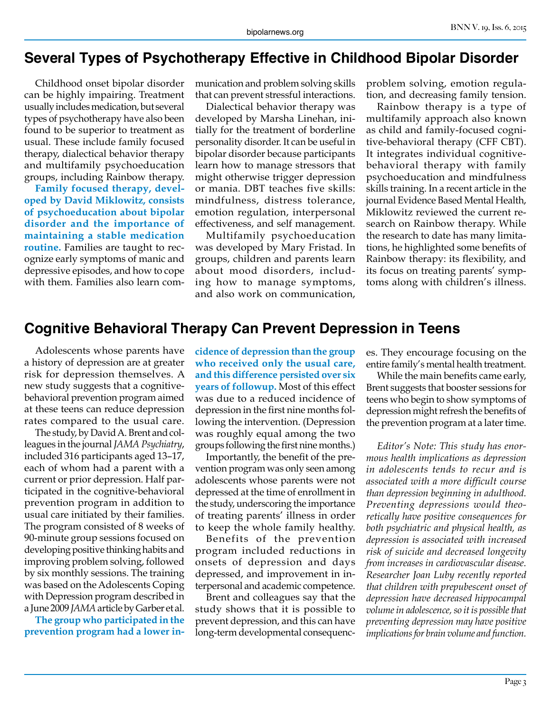#### **Several Types of Psychotherapy Effective in Childhood Bipolar Disorder**

Childhood onset bipolar disorder can be highly impairing. Treatment usually includes medication, but several types of psychotherapy have also been found to be superior to treatment as usual. These include family focused therapy, dialectical behavior therapy and multifamily psychoeducation groups, including Rainbow therapy.

**Family focused therapy, developed by David Miklowitz, consists of psychoeducation about bipolar disorder and the importance of maintaining a stable medication routine.** Families are taught to recognize early symptoms of manic and depressive episodes, and how to cope with them. Families also learn communication and problem solving skills that can prevent stressful interactions.

Dialectical behavior therapy was developed by Marsha Linehan, initially for the treatment of borderline personality disorder. It can be useful in bipolar disorder because participants learn how to manage stressors that might otherwise trigger depression or mania. DBT teaches five skills: mindfulness, distress tolerance, emotion regulation, interpersonal effectiveness, and self management.

Multifamily psychoeducation was developed by Mary Fristad. In groups, children and parents learn about mood disorders, including how to manage symptoms, and also work on communication,

problem solving, emotion regulation, and decreasing family tension.

Rainbow therapy is a type of multifamily approach also known as child and family-focused cognitive-behavioral therapy (CFF CBT). It integrates individual cognitivebehavioral therapy with family psychoeducation and mindfulness skills training. In a recent article in the journal Evidence Based Mental Health, Miklowitz reviewed the current research on Rainbow therapy. While the research to date has many limitations, he highlighted some benefits of Rainbow therapy: its flexibility, and its focus on treating parents' symptoms along with children's illness.

#### **Cognitive Behavioral Therapy Can Prevent Depression in Teens**

Adolescents whose parents have a history of depression are at greater risk for depression themselves. A new study suggests that a cognitivebehavioral prevention program aimed at these teens can reduce depression rates compared to the usual care.

The study, by David A. Brent and colleagues in the journal *JAMA Psychiatry*, included 316 participants aged 13–17, each of whom had a parent with a current or prior depression. Half participated in the cognitive-behavioral prevention program in addition to usual care initiated by their families. The program consisted of 8 weeks of 90-minute group sessions focused on developing positive thinking habits and improving problem solving, followed by six monthly sessions. The training was based on the Adolescents Coping with Depression program described in a June 2009 *JAMA* article by Garber et al.

**The group who participated in the prevention program had a lower in-** **cidence of depression than the group who received only the usual care, and this difference persisted over six years of followup.** Most of this effect was due to a reduced incidence of depression in the first nine months following the intervention. (Depression was roughly equal among the two groups following the first nine months.)

Importantly, the benefit of the prevention program was only seen among adolescents whose parents were not depressed at the time of enrollment in the study, underscoring the importance of treating parents' illness in order to keep the whole family healthy.

Benefits of the prevention program included reductions in onsets of depression and days depressed, and improvement in interpersonal and academic competence.

Brent and colleagues say that the study shows that it is possible to prevent depression, and this can have long-term developmental consequences. They encourage focusing on the entire family's mental health treatment.

While the main benefits came early, Brent suggests that booster sessions for teens who begin to show symptoms of depression might refresh the benefits of the prevention program at a later time.

*Editor's Note: This study has enormous health implications as depression in adolescents tends to recur and is associated with a more difficult course than depression beginning in adulthood. Preventing depressions would theoretically have positive consequences for both psychiatric and physical health, as depression is associated with increased risk of suicide and decreased longevity from increases in cardiovascular disease. Researcher Joan Luby recently reported that children with prepubescent onset of depression have decreased hippocampal volume in adolescence, so it is possible that preventing depression may have positive implications for brain volume and function.*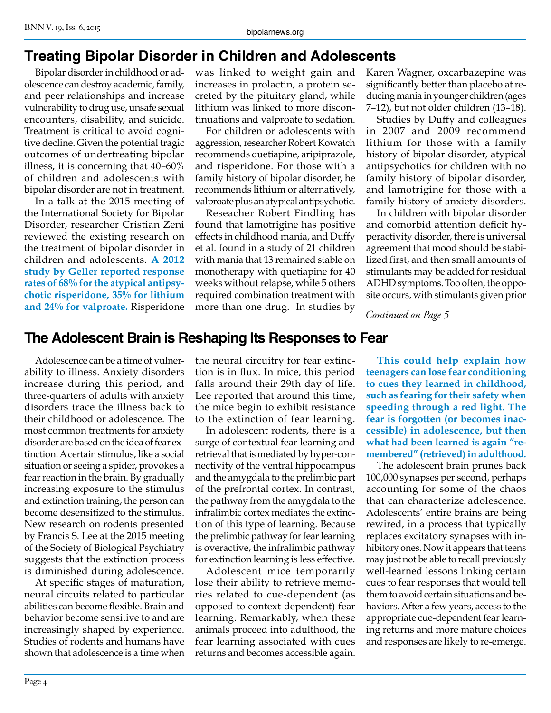# **Treating Bipolar Disorder in Children and Adolescents**

Bipolar disorder in childhood or adolescence can destroy academic, family, and peer relationships and increase vulnerability to drug use, unsafe sexual encounters, disability, and suicide. Treatment is critical to avoid cognitive decline. Given the potential tragic outcomes of undertreating bipolar illness, it is concerning that 40–60% of children and adolescents with bipolar disorder are not in treatment.

In a talk at the 2015 meeting of the International Society for Bipolar Disorder, researcher Cristian Zeni reviewed the existing research on the treatment of bipolar disorder in children and adolescents. **A 2012 study by Geller reported response rates of 68% for the atypical antipsychotic risperidone, 35% for lithium and 24% for valproate.** Risperidone was linked to weight gain and increases in prolactin, a protein secreted by the pituitary gland, while lithium was linked to more discontinuations and valproate to sedation.

For children or adolescents with aggression, researcher Robert Kowatch recommends quetiapine, aripiprazole, and risperidone. For those with a family history of bipolar disorder, he recommends lithium or alternatively, valproate plus an atypical antipsychotic.

Reseacher Robert Findling has found that lamotrigine has positive effects in childhood mania, and Duffy et al. found in a study of 21 children with mania that 13 remained stable on monotherapy with quetiapine for 40 weeks without relapse, while 5 others required combination treatment with more than one drug. In studies by

Karen Wagner, oxcarbazepine was significantly better than placebo at reducing mania in younger children (ages 7–12), but not older children (13–18).

Studies by Duffy and colleagues in 2007 and 2009 recommend lithium for those with a family history of bipolar disorder, atypical antipsychotics for children with no family history of bipolar disorder, and lamotrigine for those with a family history of anxiety disorders.

In children with bipolar disorder and comorbid attention deficit hyperactivity disorder, there is universal agreement that mood should be stabilized first, and then small amounts of stimulants may be added for residual ADHD symptoms. Too often, the opposite occurs, with stimulants given prior

*Continued on Page 5*

# **The Adolescent Brain is Reshaping Its Responses to Fear**

Adolescence can be a time of vulnerability to illness. Anxiety disorders increase during this period, and three-quarters of adults with anxiety disorders trace the illness back to their childhood or adolescence. The most common treatments for anxiety disorder are based on the idea of fear extinction. A certain stimulus, like a social situation or seeing a spider, provokes a fear reaction in the brain. By gradually increasing exposure to the stimulus and extinction training, the person can become desensitized to the stimulus. New research on rodents presented by Francis S. Lee at the 2015 meeting of the Society of Biological Psychiatry suggests that the extinction process is diminished during adolescence.

At specific stages of maturation, neural circuits related to particular abilities can become flexible. Brain and behavior become sensitive to and are increasingly shaped by experience. Studies of rodents and humans have shown that adolescence is a time when

the neural circuitry for fear extinction is in flux. In mice, this period falls around their 29th day of life. Lee reported that around this time, the mice begin to exhibit resistance to the extinction of fear learning.

In adolescent rodents, there is a surge of contextual fear learning and retrieval that is mediated by hyper-connectivity of the ventral hippocampus and the amygdala to the prelimbic part of the prefrontal cortex. In contrast, the pathway from the amygdala to the infralimbic cortex mediates the extinction of this type of learning. Because the prelimbic pathway for fear learning is overactive, the infralimbic pathway for extinction learning is less effective.

Adolescent mice temporarily lose their ability to retrieve memories related to cue-dependent (as opposed to context-dependent) fear learning. Remarkably, when these animals proceed into adulthood, the fear learning associated with cues returns and becomes accessible again.

**This could help explain how teenagers can lose fear conditioning to cues they learned in childhood, such as fearing for their safety when speeding through a red light. The fear is forgotten (or becomes inaccessible) in adolescence, but then what had been learned is again "remembered" (retrieved) in adulthood.**

The adolescent brain prunes back 100,000 synapses per second, perhaps accounting for some of the chaos that can characterize adolescence. Adolescents' entire brains are being rewired, in a process that typically replaces excitatory synapses with inhibitory ones. Now it appears that teens may just not be able to recall previously well-learned lessons linking certain cues to fear responses that would tell them to avoid certain situations and behaviors. After a few years, access to the appropriate cue-dependent fear learning returns and more mature choices and responses are likely to re-emerge.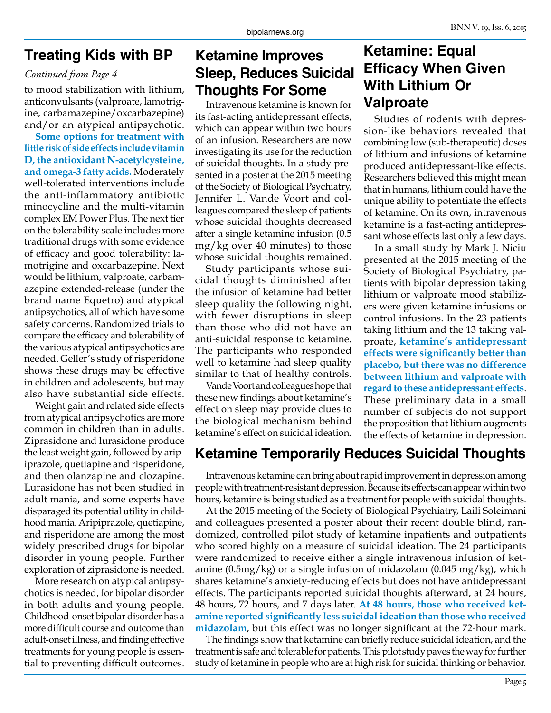# **Treating Kids with BP**

#### *Continued from Page 4*

to mood stabilization with lithium, anticonvulsants (valproate, lamotrigine, carbamazepine/oxcarbazepine) and/or an atypical antipsychotic.

**Some options for treatment with little risk of side effects include vitamin D, the antioxidant N-acetylcysteine, and omega-3 fatty acids.** Moderately well-tolerated interventions include the anti-inflammatory antibiotic minocycline and the multi-vitamin complex EM Power Plus. The next tier on the tolerability scale includes more traditional drugs with some evidence of efficacy and good tolerability: lamotrigine and oxcarbazepine. Next would be lithium, valproate, carbamazepine extended-release (under the brand name Equetro) and atypical antipsychotics, all of which have some safety concerns. Randomized trials to compare the efficacy and tolerability of the various atypical antipsychotics are needed. Geller's study of risperidone shows these drugs may be effective in children and adolescents, but may also have substantial side effects.

Weight gain and related side effects from atypical antipsychotics are more common in children than in adults. Ziprasidone and lurasidone produce the least weight gain, followed by aripiprazole, quetiapine and risperidone, and then olanzapine and clozapine. Lurasidone has not been studied in adult mania, and some experts have disparaged its potential utility in childhood mania. Aripiprazole, quetiapine, and risperidone are among the most widely prescribed drugs for bipolar disorder in young people. Further exploration of ziprasidone is needed.

More research on atypical antipsychotics is needed, for bipolar disorder in both adults and young people. Childhood-onset bipolar disorder has a more difficult course and outcome than adult-onset illness, and finding effective treatments for young people is essential to preventing difficult outcomes.

# **Ketamine Improves Sleep, Reduces Suicidal Thoughts For Some**

Intravenous ketamine is known for its fast-acting antidepressant effects, which can appear within two hours of an infusion. Researchers are now investigating its use for the reduction of suicidal thoughts. In a study presented in a poster at the 2015 meeting of the Society of Biological Psychiatry, Jennifer L. Vande Voort and colleagues compared the sleep of patients whose suicidal thoughts decreased after a single ketamine infusion (0.5 mg/kg over 40 minutes) to those whose suicidal thoughts remained.

Study participants whose suicidal thoughts diminished after the infusion of ketamine had better sleep quality the following night, with fewer disruptions in sleep than those who did not have an anti-suicidal response to ketamine. The participants who responded well to ketamine had sleep quality similar to that of healthy controls.

Vande Voort and colleagues hope that these new findings about ketamine's effect on sleep may provide clues to the biological mechanism behind ketamine's effect on suicidal ideation.

# **Ketamine: Equal Efficacy When Given With Lithium Or Valproate**

Studies of rodents with depression-like behaviors revealed that combining low (sub-therapeutic) doses of lithium and infusions of ketamine produced antidepressant-like effects. Researchers believed this might mean that in humans, lithium could have the unique ability to potentiate the effects of ketamine. On its own, intravenous ketamine is a fast-acting antidepressant whose effects last only a few days.

In a small study by Mark J. Niciu presented at the 2015 meeting of the Society of Biological Psychiatry, patients with bipolar depression taking lithium or valproate mood stabilizers were given ketamine infusions or control infusions. In the 23 patients taking lithium and the 13 taking valproate, **ketamine's antidepressant effects were significantly better than placebo, but there was no difference between lithium and valproate with regard to these antidepressant effects**. These preliminary data in a small number of subjects do not support the proposition that lithium augments the effects of ketamine in depression.

# **Ketamine Temporarily Reduces Suicidal Thoughts**

Intravenous ketamine can bring about rapid improvement in depression among people with treatment-resistant depression. Because its effects can appear within two hours, ketamine is being studied as a treatment for people with suicidal thoughts.

At the 2015 meeting of the Society of Biological Psychiatry, Laili Soleimani and colleagues presented a poster about their recent double blind, randomized, controlled pilot study of ketamine inpatients and outpatients who scored highly on a measure of suicidal ideation. The 24 participants were randomized to receive either a single intravenous infusion of ketamine  $(0.5mg/kg)$  or a single infusion of midazolam  $(0.045 mg/kg)$ , which shares ketamine's anxiety-reducing effects but does not have antidepressant effects. The participants reported suicidal thoughts afterward, at 24 hours, 48 hours, 72 hours, and 7 days later. **At 48 hours, those who received ketamine reported significantly less suicidal ideation than those who received midazolam**, but this effect was no longer significant at the 72-hour mark.

The findings show that ketamine can briefly reduce suicidal ideation, and the treatment is safe and tolerable for patients. This pilot study paves the way for further study of ketamine in people who are at high risk for suicidal thinking or behavior.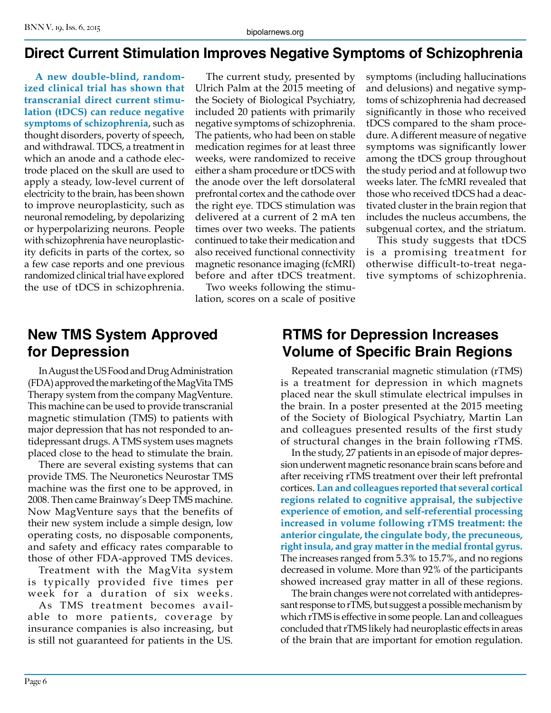# **Direct Current Stimulation Improves Negative Symptoms of Schizophrenia**

**A new double-blind, randomized clinical trial has shown that transcranial direct current stimulation (tDCS) can reduce negative symptoms of schizophrenia**, such as thought disorders, poverty of speech, and withdrawal. TDCS, a treatment in which an anode and a cathode electrode placed on the skull are used to apply a steady, low-level current of electricity to the brain, has been shown to improve neuroplasticity, such as neuronal remodeling, by depolarizing or hyperpolarizing neurons. People with schizophrenia have neuroplasticity deficits in parts of the cortex, so a few case reports and one previous randomized clinical trial have explored the use of tDCS in schizophrenia.

The current study, presented by Ulrich Palm at the 2015 meeting of the Society of Biological Psychiatry, included 20 patients with primarily negative symptoms of schizophrenia. The patients, who had been on stable medication regimes for at least three weeks, were randomized to receive either a sham procedure or tDCS with the anode over the left dorsolateral prefrontal cortex and the cathode over the right eye. TDCS stimulation was delivered at a current of 2 mA ten times over two weeks. The patients continued to take their medication and also received functional connectivity magnetic resonance imaging (fcMRI) before and after tDCS treatment.

Two weeks following the stimulation, scores on a scale of positive symptoms (including hallucinations and delusions) and negative symptoms of schizophrenia had decreased significantly in those who received tDCS compared to the sham procedure. A different measure of negative symptoms was significantly lower among the tDCS group throughout the study period and at followup two weeks later. The fcMRI revealed that those who received tDCS had a deactivated cluster in the brain region that includes the nucleus accumbens, the subgenual cortex, and the striatum.

This study suggests that tDCS is a promising treatment for otherwise difficult-to-treat negative symptoms of schizophrenia.

# **New TMS System Approved for Depression**

In August the US Food and Drug Administration (FDA) approved the marketing of the MagVita TMS Therapy system from the company MagVenture. This machine can be used to provide transcranial magnetic stimulation (TMS) to patients with major depression that has not responded to antidepressant drugs. A TMS system uses magnets placed close to the head to stimulate the brain.

There are several existing systems that can provide TMS. The Neuronetics Neurostar TMS machine was the first one to be approved, in 2008. Then came Brainway's Deep TMS machine. Now MagVenture says that the benefits of their new system include a simple design, low operating costs, no disposable components, and safety and efficacy rates comparable to those of other FDA-approved TMS devices.

Treatment with the MagVita system is typically provided five times per week for a duration of six weeks.

As TMS treatment becomes available to more patients, coverage by insurance companies is also increasing, but is still not guaranteed for patients in the US.

# **RTMS for Depression Increases Volume of Specific Brain Regions**

Repeated transcranial magnetic stimulation (rTMS) is a treatment for depression in which magnets placed near the skull stimulate electrical impulses in the brain. In a poster presented at the 2015 meeting of the Society of Biological Psychiatry, Martin Lan and colleagues presented results of the first study of structural changes in the brain following rTMS.

In the study, 27 patients in an episode of major depression underwent magnetic resonance brain scans before and after receiving rTMS treatment over their left prefrontal cortices. **Lan and colleagues reported that several cortical regions related to cognitive appraisal, the subjective experience of emotion, and self-referential processing increased in volume following rTMS treatment: the anterior cingulate, the cingulate body, the precuneous, right insula, and gray matter in the medial frontal gyrus.**  The increases ranged from 5.3% to 15.7%, and no regions decreased in volume. More than 92% of the participants showed increased gray matter in all of these regions.

The brain changes were not correlated with antidepressant response to rTMS, but suggest a possible mechanism by which rTMS is effective in some people. Lan and colleagues concluded that rTMS likely had neuroplastic effects in areas of the brain that are important for emotion regulation.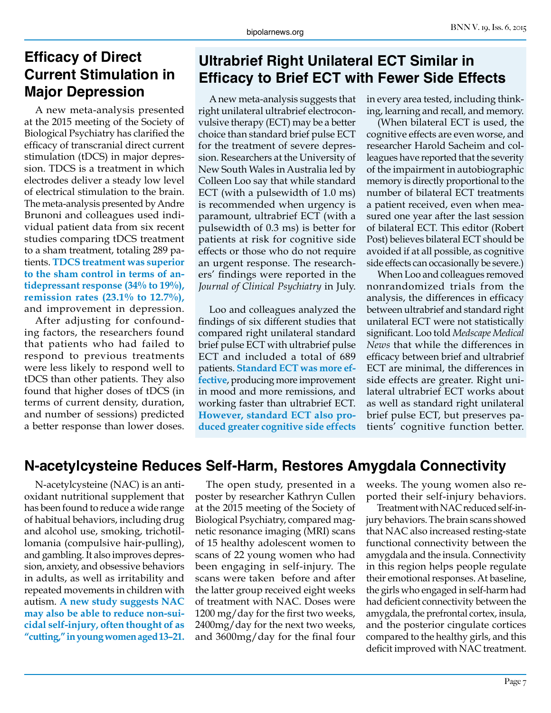# **Efficacy of Direct Current Stimulation in Major Depression**

A new meta-analysis presented at the 2015 meeting of the Society of Biological Psychiatry has clarified the efficacy of transcranial direct current stimulation (tDCS) in major depression. TDCS is a treatment in which electrodes deliver a steady low level of electrical stimulation to the brain. The meta-analysis presented by Andre Brunoni and colleagues used individual patient data from six recent studies comparing tDCS treatment to a sham treatment, totaling 289 patients. **TDCS treatment was superior to the sham control in terms of antidepressant response (34% to 19%), remission rates (23.1% to 12.7%),**  and improvement in depression.

After adjusting for confounding factors, the researchers found that patients who had failed to respond to previous treatments were less likely to respond well to tDCS than other patients. They also found that higher doses of tDCS (in terms of current density, duration, and number of sessions) predicted a better response than lower doses.

# **Ultrabrief Right Unilateral ECT Similar in Efficacy to Brief ECT with Fewer Side Effects**

A new meta-analysis suggests that right unilateral ultrabrief electroconvulsive therapy (ECT) may be a better choice than standard brief pulse ECT for the treatment of severe depression. Researchers at the University of New South Wales in Australia led by Colleen Loo say that while standard ECT (with a pulsewidth of 1.0 ms) is recommended when urgency is paramount, ultrabrief ECT (with a pulsewidth of 0.3 ms) is better for patients at risk for cognitive side effects or those who do not require an urgent response. The researchers' findings were reported in the *Journal of Clinical Psychiatry* in July.

Loo and colleagues analyzed the findings of six different studies that compared right unilateral standard brief pulse ECT with ultrabrief pulse ECT and included a total of 689 patients. **Standard ECT was more effective**, producing more improvement in mood and more remissions, and working faster than ultrabrief ECT. **However, standard ECT also produced greater cognitive side effects**

in every area tested, including thinking, learning and recall, and memory.

(When bilateral ECT is used, the cognitive effects are even worse, and researcher Harold Sacheim and colleagues have reported that the severity of the impairment in autobiographic memory is directly proportional to the number of bilateral ECT treatments a patient received, even when measured one year after the last session of bilateral ECT. This editor (Robert Post) believes bilateral ECT should be avoided if at all possible, as cognitive side effects can occasionally be severe.)

When Loo and colleagues removed nonrandomized trials from the analysis, the differences in efficacy between ultrabrief and standard right unilateral ECT were not statistically significant. Loo told *Medscape Medical News* that while the differences in efficacy between brief and ultrabrief ECT are minimal, the differences in side effects are greater. Right unilateral ultrabrief ECT works about as well as standard right unilateral brief pulse ECT, but preserves patients' cognitive function better.

# **N-acetylcysteine Reduces Self-Harm, Restores Amygdala Connectivity**

N-acetylcysteine (NAC) is an antioxidant nutritional supplement that has been found to reduce a wide range of habitual behaviors, including drug and alcohol use, smoking, trichotillomania (compulsive hair-pulling), and gambling. It also improves depression, anxiety, and obsessive behaviors in adults, as well as irritability and repeated movements in children with autism. **A new study suggests NAC may also be able to reduce non-suicidal self-injury, often thought of as "cutting," in young women aged 13–21.**

The open study, presented in a poster by researcher Kathryn Cullen at the 2015 meeting of the Society of Biological Psychiatry, compared magnetic resonance imaging (MRI) scans of 15 healthy adolescent women to scans of 22 young women who had been engaging in self-injury. The scans were taken before and after the latter group received eight weeks of treatment with NAC. Doses were 1200 mg/day for the first two weeks, 2400mg/day for the next two weeks, and 3600mg/day for the final four

weeks. The young women also reported their self-injury behaviors.

Treatment with NAC reduced self-injury behaviors. The brain scans showed that NAC also increased resting-state functional connectivity between the amygdala and the insula. Connectivity in this region helps people regulate their emotional responses. At baseline, the girls who engaged in self-harm had had deficient connectivity between the amygdala, the prefrontal cortex, insula, and the posterior cingulate cortices compared to the healthy girls, and this deficit improved with NAC treatment.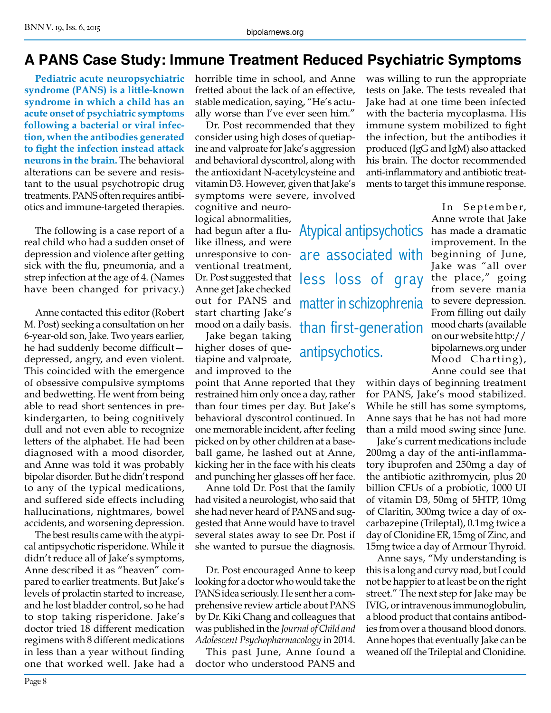# **A PANS Case Study: Immune Treatment Reduced Psychiatric Symptoms**

**Pediatric acute neuropsychiatric syndrome (PANS) is a little-known syndrome in which a child has an acute onset of psychiatric symptoms following a bacterial or viral infection, when the antibodies generated to fight the infection instead attack neurons in the brain.** The behavioral alterations can be severe and resistant to the usual psychotropic drug treatments. PANS often requires antibiotics and immune-targeted therapies.

The following is a case report of a real child who had a sudden onset of depression and violence after getting sick with the flu, pneumonia, and a strep infection at the age of 4. (Names have been changed for privacy.)

Anne contacted this editor (Robert M. Post) seeking a consultation on her 6-year-old son, Jake. Two years earlier, he had suddenly become difficult depressed, angry, and even violent. This coincided with the emergence of obsessive compulsive symptoms and bedwetting. He went from being able to read short sentences in prekindergarten, to being cognitively dull and not even able to recognize letters of the alphabet. He had been diagnosed with a mood disorder, and Anne was told it was probably bipolar disorder. But he didn't respond to any of the typical medications, and suffered side effects including hallucinations, nightmares, bowel accidents, and worsening depression.

The best results came with the atypical antipsychotic risperidone. While it didn't reduce all of Jake's symptoms, Anne described it as "heaven" compared to earlier treatments. But Jake's levels of prolactin started to increase, and he lost bladder control, so he had to stop taking risperidone. Jake's doctor tried 18 different medication regimens with 8 different medications in less than a year without finding one that worked well. Jake had a

horrible time in school, and Anne fretted about the lack of an effective, stable medication, saying, "He's actually worse than I've ever seen him."

Dr. Post recommended that they consider using high doses of quetiapine and valproate for Jake's aggression and behavioral dyscontrol, along with the antioxidant N-acetylcysteine and vitamin D3. However, given that Jake's symptoms were severe, involved

Atypical antipsychotics

are associated with

matter in schizophrenia

than first-generation

antipsychotics.

cognitive and neurological abnormalities, had begun after a flulike illness, and were unresponsive to conventional treatment, Dr. Post suggested that  $\begin{array}{|l|l|}\n\hline\n\text{cos} & \text{cos} \\
\hline\n\text{cos} & \text{cos} \\
\hline\n\text{cos} & \text{cos} \\
\hline\n\text{cos} & \text{cos} \\
\hline\n\text{cos} & \text{cos} \\
\hline\n\text{cos} & \text{cos} \\
\hline\n\text{cos} & \text{cos} \\
\hline\n\text{cos} & \text{cos} \\
\hline\n\text{cos} & \text{cos} \\
\hline\n\text{cos} & \text{cos} \\
\hline\n\text{cos} & \text{cos} \\
\hline\n\text{cos}$ Anne get Jake checked out for PANS and start charting Jake's mood on a daily basis.

Jake began taking higher doses of quetiapine and valproate, and improved to the

point that Anne reported that they restrained him only once a day, rather than four times per day. But Jake's behavioral dyscontrol continued. In one memorable incident, after feeling picked on by other children at a baseball game, he lashed out at Anne, kicking her in the face with his cleats and punching her glasses off her face.

Anne told Dr. Post that the family had visited a neurologist, who said that she had never heard of PANS and suggested that Anne would have to travel several states away to see Dr. Post if she wanted to pursue the diagnosis.

Dr. Post encouraged Anne to keep looking for a doctor who would take the PANS idea seriously. He sent her a comprehensive review article about PANS by Dr. Kiki Chang and colleagues that was published in the *Journal of Child and Adolescent Psychopharmacology* in 2014.

This past June, Anne found a doctor who understood PANS and

was willing to run the appropriate tests on Jake. The tests revealed that Jake had at one time been infected with the bacteria mycoplasma. His immune system mobilized to fight the infection, but the antibodies it produced (IgG and IgM) also attacked his brain. The doctor recommended anti-inflammatory and antibiotic treatments to target this immune response.

> In September, Anne wrote that Jake has made a dramatic improvement. In the beginning of June, Jake was "all over from severe mania to severe depression. From filling out daily mood charts (available on our website http:// bipolarnews.org under Mood Charting), Anne could see that

within days of beginning treatment for PANS, Jake's mood stabilized. While he still has some symptoms, Anne says that he has not had more than a mild mood swing since June.

Jake's current medications include 200mg a day of the anti-inflammatory ibuprofen and 250mg a day of the antibiotic azithromycin, plus 20 billion CFUs of a probiotic, 1000 UI of vitamin D3, 50mg of 5HTP, 10mg of Claritin, 300mg twice a day of oxcarbazepine (Trileptal), 0.1mg twice a day of Clonidine ER, 15mg of Zinc, and 15mg twice a day of Armour Thyroid.

Anne says, "My understanding is this is a long and curvy road, but I could not be happier to at least be on the right street." The next step for Jake may be IVIG, or intravenous immunoglobulin, a blood product that contains antibodies from over a thousand blood donors. Anne hopes that eventually Jake can be weaned off the Trileptal and Clonidine.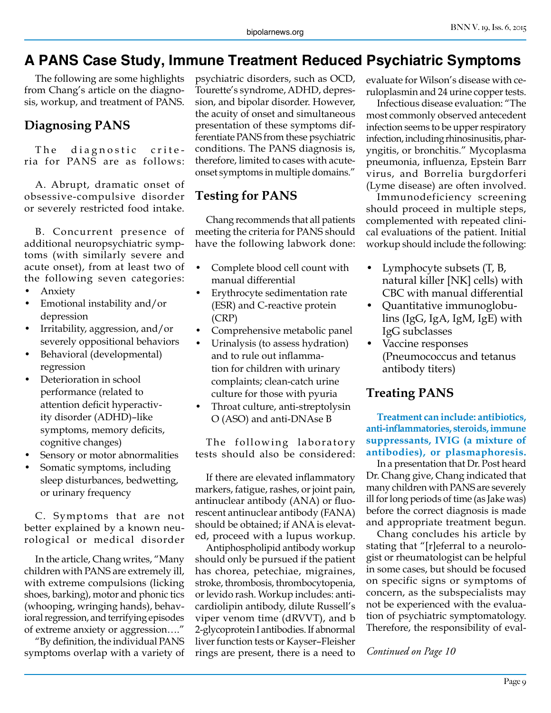# **A PANS Case Study, Immune Treatment Reduced Psychiatric Symptoms**

The following are some highlights from Chang's article on the diagnosis, workup, and treatment of PANS.

#### **Diagnosing PANS**

The diagnostic criteria for PANS are as follows:

A. Abrupt, dramatic onset of obsessive-compulsive disorder or severely restricted food intake.

B. Concurrent presence of additional neuropsychiatric symptoms (with similarly severe and acute onset), from at least two of the following seven categories:

- Anxiety
- Emotional instability and/or depression
- Irritability, aggression, and/or severely oppositional behaviors
- Behavioral (developmental) regression
- Deterioration in school performance (related to attention deficit hyperactivity disorder (ADHD)–like symptoms, memory deficits, cognitive changes)
- Sensory or motor abnormalities
- Somatic symptoms, including sleep disturbances, bedwetting, or urinary frequency

C. Symptoms that are not better explained by a known neurological or medical disorder

In the article, Chang writes, "Many children with PANS are extremely ill, with extreme compulsions (licking shoes, barking), motor and phonic tics (whooping, wringing hands), behavioral regression, and terrifying episodes of extreme anxiety or aggression…."

"By definition, the individual PANS symptoms overlap with a variety of psychiatric disorders, such as OCD, Tourette's syndrome, ADHD, depression, and bipolar disorder. However, the acuity of onset and simultaneous presentation of these symptoms differentiate PANS from these psychiatric conditions. The PANS diagnosis is, therefore, limited to cases with acuteonset symptoms in multiple domains."

### **Testing for PANS**

Chang recommends that all patients meeting the criteria for PANS should have the following labwork done:

- Complete blood cell count with manual differential
- Erythrocyte sedimentation rate (ESR) and C-reactive protein (CRP)
- Comprehensive metabolic panel
- Urinalysis (to assess hydration) and to rule out inflammation for children with urinary complaints; clean-catch urine culture for those with pyuria
- Throat culture, anti-streptolysin O (ASO) and anti-DNAse B

The following laboratory tests should also be considered:

If there are elevated inflammatory markers, fatigue, rashes, or joint pain, antinuclear antibody (ANA) or fluorescent antinuclear antibody (FANA) should be obtained; if ANA is elevated, proceed with a lupus workup.

Antiphospholipid antibody workup should only be pursued if the patient has chorea, petechiae, migraines, stroke, thrombosis, thrombocytopenia, or levido rash. Workup includes: anticardiolipin antibody, dilute Russell's viper venom time (dRVVT), and b 2-glycoprotein I antibodies. If abnormal liver function tests or Kayser–Fleisher rings are present, there is a need to

evaluate for Wilson's disease with ceruloplasmin and 24 urine copper tests.

Infectious disease evaluation: "The most commonly observed antecedent infection seems to be upper respiratory infection, including rhinosinusitis, pharyngitis, or bronchitis." Mycoplasma pneumonia, influenza, Epstein Barr virus, and Borrelia burgdorferi (Lyme disease) are often involved.

Immunodeficiency screening should proceed in multiple steps, complemented with repeated clinical evaluations of the patient. Initial workup should include the following:

- Lymphocyte subsets (T, B, natural killer [NK] cells) with CBC with manual differential
- Quantitative immunoglobulins (IgG, IgA, IgM, IgE) with IgG subclasses
- Vaccine responses (Pneumococcus and tetanus antibody titers)

## **Treating PANS**

**Treatment can include: antibiotics, anti-inflammatories, steroids, immune suppressants, IVIG (a mixture of antibodies), or plasmaphoresis.**

In a presentation that Dr. Post heard Dr. Chang give, Chang indicated that many children with PANS are severely ill for long periods of time (as Jake was) before the correct diagnosis is made and appropriate treatment begun.

Chang concludes his article by stating that "[r]eferral to a neurologist or rheumatologist can be helpful in some cases, but should be focused on specific signs or symptoms of concern, as the subspecialists may not be experienced with the evaluation of psychiatric symptomatology. Therefore, the responsibility of eval-

*Continued on Page 10*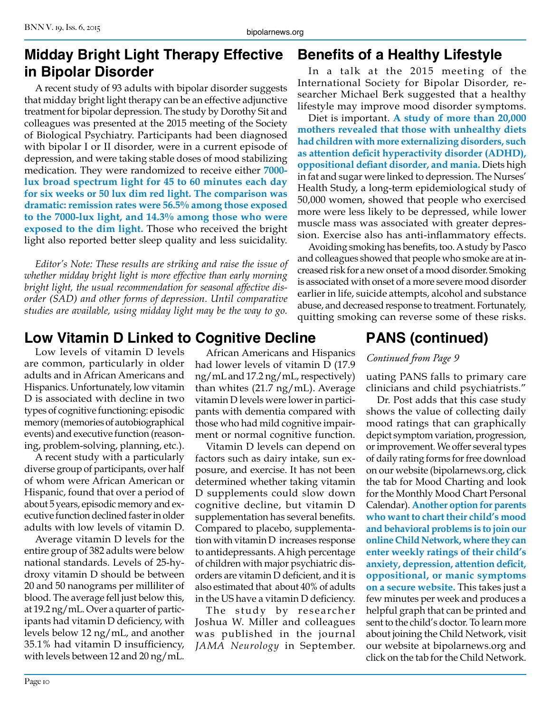# **Midday Bright Light Therapy Effective in Bipolar Disorder**

A recent study of 93 adults with bipolar disorder suggests that midday bright light therapy can be an effective adjunctive treatment for bipolar depression. The study by Dorothy Sit and colleagues was presented at the 2015 meeting of the Society of Biological Psychiatry. Participants had been diagnosed with bipolar I or II disorder, were in a current episode of depression, and were taking stable doses of mood stabilizing medication. They were randomized to receive either **7000 lux broad spectrum light for 45 to 60 minutes each day for six weeks or 50 lux dim red light. The comparison was dramatic: remission rates were 56.5% among those exposed to the 7000-lux light, and 14.3% among those who were exposed to the dim light.** Those who received the bright light also reported better sleep quality and less suicidality.

*Editor's Note: These results are striking and raise the issue of whether midday bright light is more effective than early morning bright light, the usual recommendation for seasonal affective disorder (SAD) and other forms of depression. Until comparative studies are available, using midday light may be the way to go.*

# **Low Vitamin D Linked to Cognitive Decline PANS (continued)**

Low levels of vitamin D levels are common, particularly in older adults and in African Americans and Hispanics. Unfortunately, low vitamin D is associated with decline in two types of cognitive functioning: episodic memory (memories of autobiographical events) and executive function (reasoning, problem-solving, planning, etc.).

A recent study with a particularly diverse group of participants, over half of whom were African American or Hispanic, found that over a period of about 5 years, episodic memory and executive function declined faster in older adults with low levels of vitamin D.

Average vitamin D levels for the entire group of 382 adults were below national standards. Levels of 25-hydroxy vitamin D should be between 20 and 50 nanograms per milliliter of blood. The average fell just below this, at 19.2 ng/mL. Over a quarter of participants had vitamin D deficiency, with levels below 12 ng/mL, and another 35.1% had vitamin D insufficiency, with levels between 12 and 20 ng/mL.

African Americans and Hispanics had lower levels of vitamin D (17.9 ng/mL and 17.2 ng/mL, respectively) than whites (21.7 ng/mL). Average vitamin D levels were lower in participants with dementia compared with those who had mild cognitive impairment or normal cognitive function.

Vitamin D levels can depend on factors such as dairy intake, sun exposure, and exercise. It has not been determined whether taking vitamin D supplements could slow down cognitive decline, but vitamin D supplementation has several benefits. Compared to placebo, supplementation with vitamin D increases response to antidepressants. A high percentage of children with major psychiatric disorders are vitamin D deficient, and it is also estimated that about 40% of adults in the US have a vitamin D deficiency.

The study by researcher Joshua W. Miller and colleagues was published in the journal *JAMA Neurology* in September.

# **Benefits of a Healthy Lifestyle**

In a talk at the 2015 meeting of the International Society for Bipolar Disorder, researcher Michael Berk suggested that a healthy lifestyle may improve mood disorder symptoms.

Diet is important. **A study of more than 20,000 mothers revealed that those with unhealthy diets had children with more externalizing disorders, such as attention deficit hyperactivity disorder (ADHD), oppositional defiant disorder, and mania.** Diets high in fat and sugar were linked to depression. The Nurses' Health Study, a long-term epidemiological study of 50,000 women, showed that people who exercised more were less likely to be depressed, while lower muscle mass was associated with greater depression. Exercise also has anti-inflammatory effects.

Avoiding smoking has benefits, too. A study by Pasco and colleagues showed that people who smoke are at increased risk for a new onset of a mood disorder. Smoking is associated with onset of a more severe mood disorder earlier in life, suicide attempts, alcohol and substance abuse, and decreased response to treatment. Fortunately, quitting smoking can reverse some of these risks.

#### *Continued from Page 9*

uating PANS falls to primary care clinicians and child psychiatrists."

Dr. Post adds that this case study shows the value of collecting daily mood ratings that can graphically depict symptom variation, progression, or improvement. We offer several types of daily rating forms for free download on our website (bipolarnews.org, click the tab for Mood Charting and look for the Monthly Mood Chart Personal Calendar). **Another option for parents who want to chart their child's mood and behavioral problems is to join our online Child Network, where they can enter weekly ratings of their child's anxiety, depression, attention deficit, oppositional, or manic symptoms on a secure website.** This takes just a few minutes per week and produces a helpful graph that can be printed and sent to the child's doctor. To learn more about joining the Child Network, visit our website at bipolarnews.org and click on the tab for the Child Network.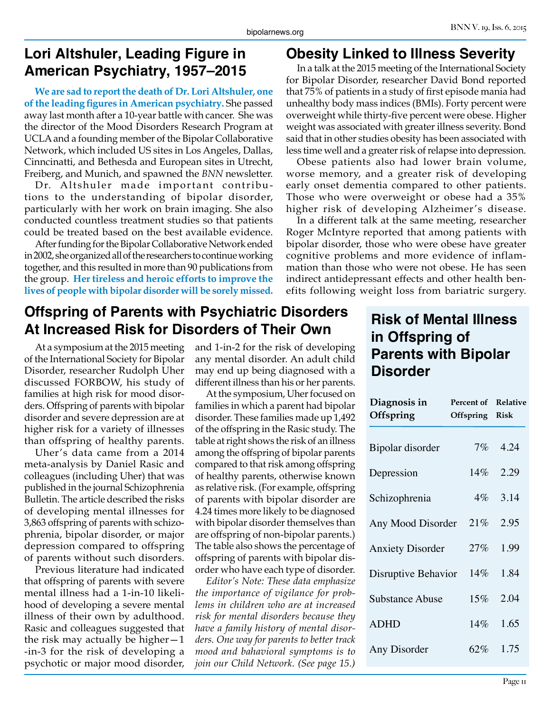# **Lori Altshuler, Leading Figure in American Psychiatry, 1957–2015**

**We are sad to report the death of Dr. Lori Altshuler, one of the leading figures in American psychiatry.** She passed away last month after a 10-year battle with cancer. She was the director of the Mood Disorders Research Program at UCLA and a founding member of the Bipolar Collaborative Network, which included US sites in Los Angeles, Dallas, Cinncinatti, and Bethesda and European sites in Utrecht, Freiberg, and Munich, and spawned the *BNN* newsletter.

Dr. Altshuler made important contributions to the understanding of bipolar disorder, particularly with her work on brain imaging. She also conducted countless treatment studies so that patients could be treated based on the best available evidence.

After funding for the Bipolar Collaborative Network ended in 2002, she organized all of the researchers to continue working together, and this resulted in more than 90 publications from the group. **Her tireless and heroic efforts to improve the lives of people with bipolar disorder will be sorely missed.**

### **Obesity Linked to Illness Severity**

In a talk at the 2015 meeting of the International Society for Bipolar Disorder, researcher David Bond reported that 75% of patients in a study of first episode mania had unhealthy body mass indices (BMIs). Forty percent were overweight while thirty-five percent were obese. Higher weight was associated with greater illness severity. Bond said that in other studies obesity has been associated with less time well and a greater risk of relapse into depression.

Obese patients also had lower brain volume, worse memory, and a greater risk of developing early onset dementia compared to other patients. Those who were overweight or obese had a 35% higher risk of developing Alzheimer's disease.

In a different talk at the same meeting, researcher Roger McIntyre reported that among patients with bipolar disorder, those who were obese have greater cognitive problems and more evidence of inflammation than those who were not obese. He has seen indirect antidepressant effects and other health benefits following weight loss from bariatric surgery.

# **Offspring of Parents with Psychiatric Disorders At Increased Risk for Disorders of Their Own**

At a symposium at the 2015 meeting of the International Society for Bipolar Disorder, researcher Rudolph Uher discussed FORBOW, his study of families at high risk for mood disorders. Offspring of parents with bipolar disorder and severe depression are at higher risk for a variety of illnesses than offspring of healthy parents.

Uher's data came from a 2014 meta-analysis by Daniel Rasic and colleagues (including Uher) that was published in the journal Schizophrenia Bulletin. The article described the risks of developing mental illnesses for 3,863 offspring of parents with schizophrenia, bipolar disorder, or major depression compared to offspring of parents without such disorders.

Previous literature had indicated that offspring of parents with severe mental illness had a 1-in-10 likelihood of developing a severe mental illness of their own by adulthood. Rasic and colleagues suggested that the risk may actually be higher—1 -in-3 for the risk of developing a psychotic or major mood disorder,

and 1-in-2 for the risk of developing any mental disorder. An adult child may end up being diagnosed with a different illness than his or her parents.

At the symposium, Uher focused on families in which a parent had bipolar disorder. These families made up 1,492 of the offspring in the Rasic study. The table at right shows the risk of an illness among the offspring of bipolar parents compared to that risk among offspring of healthy parents, otherwise known as relative risk. (For example, offspring of parents with bipolar disorder are 4.24 times more likely to be diagnosed with bipolar disorder themselves than are offspring of non-bipolar parents.) The table also shows the percentage of offspring of parents with bipolar disorder who have each type of disorder.

*Editor's Note: These data emphasize the importance of vigilance for problems in children who are at increased risk for mental disorders because they have a family history of mental disorders. One way for parents to better track mood and bahavioral symptoms is to join our Child Network. (See page 15.)*

# **Risk of Mental Illness in Offspring of Parents with Bipolar Disorder**

| Diagnosis in<br>Offspring | Percent of<br>Offspring | <b>Relative</b><br><b>Risk</b> |
|---------------------------|-------------------------|--------------------------------|
| Bipolar disorder          | $7\%$                   | 4.24                           |
| Depression                | $14\%$                  | 2.29                           |
| Schizophrenia             | $4\%$                   | 3.14                           |
| Any Mood Disorder         | 21%                     | 2.95                           |
| <b>Anxiety Disorder</b>   | 27%                     | 1.99                           |
| Disruptive Behavior       | $14\%$                  | 1.84                           |
| <b>Substance Abuse</b>    | 15%                     | 2.04                           |
| <b>ADHD</b>               | 14%                     | 1.65                           |
| Any Disorder              | 62%                     | 1.75                           |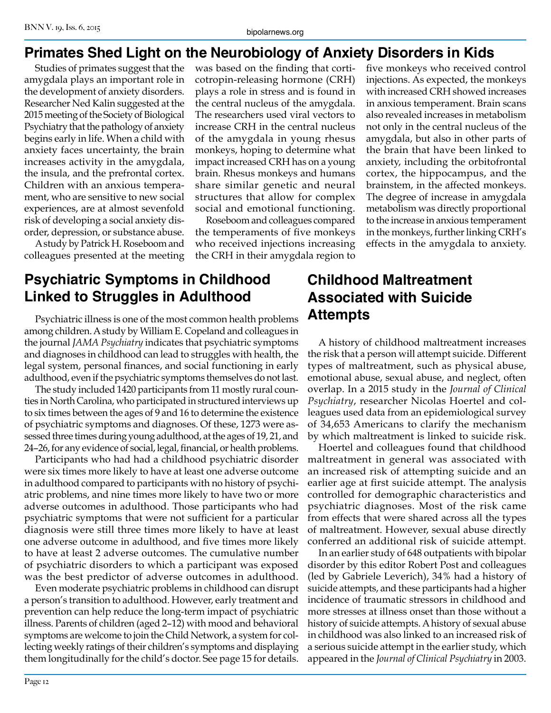# **Primates Shed Light on the Neurobiology of Anxiety Disorders in Kids**

Studies of primates suggest that the amygdala plays an important role in the development of anxiety disorders. Researcher Ned Kalin suggested at the 2015 meeting of the Society of Biological Psychiatry that the pathology of anxiety begins early in life. When a child with anxiety faces uncertainty, the brain increases activity in the amygdala, the insula, and the prefrontal cortex. Children with an anxious temperament, who are sensitive to new social experiences, are at almost sevenfold risk of developing a social anxiety disorder, depression, or substance abuse.

A study by Patrick H. Roseboom and colleagues presented at the meeting was based on the finding that corticotropin-releasing hormone (CRH) plays a role in stress and is found in the central nucleus of the amygdala. The researchers used viral vectors to increase CRH in the central nucleus of the amygdala in young rhesus monkeys, hoping to determine what impact increased CRH has on a young brain. Rhesus monkeys and humans share similar genetic and neural structures that allow for complex social and emotional functioning.

Roseboom and colleagues compared the temperaments of five monkeys who received injections increasing the CRH in their amygdala region to five monkeys who received control injections. As expected, the monkeys with increased CRH showed increases in anxious temperament. Brain scans also revealed increases in metabolism not only in the central nucleus of the amygdala, but also in other parts of the brain that have been linked to anxiety, including the orbitofrontal cortex, the hippocampus, and the brainstem, in the affected monkeys. The degree of increase in amygdala metabolism was directly proportional to the increase in anxious temperament in the monkeys, further linking CRH's effects in the amygdala to anxiety.

# **Psychiatric Symptoms in Childhood Linked to Struggles in Adulthood**

Psychiatric illness is one of the most common health problems among children. A study by William E. Copeland and colleagues in the journal *JAMA Psychiatry* indicates that psychiatric symptoms and diagnoses in childhood can lead to struggles with health, the legal system, personal finances, and social functioning in early adulthood, even if the psychiatric symptoms themselves do not last.

The study included 1420 participants from 11 mostly rural counties in North Carolina, who participated in structured interviews up to six times between the ages of 9 and 16 to determine the existence of psychiatric symptoms and diagnoses. Of these, 1273 were assessed three times during young adulthood, at the ages of 19, 21, and 24–26, for any evidence of social, legal, financial, or health problems.

Participants who had had a childhood psychiatric disorder were six times more likely to have at least one adverse outcome in adulthood compared to participants with no history of psychiatric problems, and nine times more likely to have two or more adverse outcomes in adulthood. Those participants who had psychiatric symptoms that were not sufficient for a particular diagnosis were still three times more likely to have at least one adverse outcome in adulthood, and five times more likely to have at least 2 adverse outcomes. The cumulative number of psychiatric disorders to which a participant was exposed was the best predictor of adverse outcomes in adulthood.

Even moderate psychiatric problems in childhood can disrupt a person's transition to adulthood. However, early treatment and prevention can help reduce the long-term impact of psychiatric illness. Parents of children (aged 2–12) with mood and behavioral symptoms are welcome to join the Child Network, a system for collecting weekly ratings of their children's symptoms and displaying them longitudinally for the child's doctor. See page 15 for details.

# **Childhood Maltreatment Associated with Suicide Attempts**

A history of childhood maltreatment increases the risk that a person will attempt suicide. Different types of maltreatment, such as physical abuse, emotional abuse, sexual abuse, and neglect, often overlap. In a 2015 study in the *Journal of Clinical Psychiatry*, researcher Nicolas Hoertel and colleagues used data from an epidemiological survey of 34,653 Americans to clarify the mechanism by which maltreatment is linked to suicide risk.

Hoertel and colleagues found that childhood maltreatment in general was associated with an increased risk of attempting suicide and an earlier age at first suicide attempt. The analysis controlled for demographic characteristics and psychiatric diagnoses. Most of the risk came from effects that were shared across all the types of maltreatment. However, sexual abuse directly conferred an additional risk of suicide attempt.

In an earlier study of 648 outpatients with bipolar disorder by this editor Robert Post and colleagues (led by Gabriele Leverich), 34% had a history of suicide attempts, and these participants had a higher incidence of traumatic stressors in childhood and more stresses at illness onset than those without a history of suicide attempts. A history of sexual abuse in childhood was also linked to an increased risk of a serious suicide attempt in the earlier study, which appeared in the *Journal of Clinical Psychiatry* in 2003.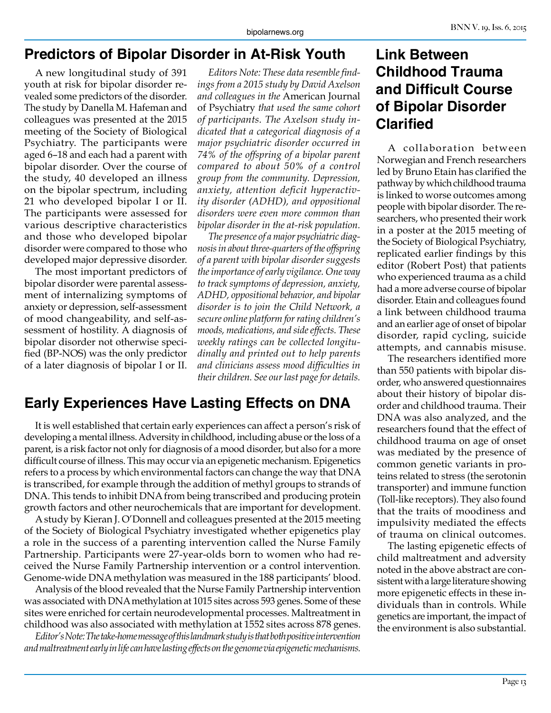# **Predictors of Bipolar Disorder in At-Risk Youth**

A new longitudinal study of 391 youth at risk for bipolar disorder revealed some predictors of the disorder. The study by Danella M. Hafeman and colleagues was presented at the 2015 meeting of the Society of Biological Psychiatry. The participants were aged 6–18 and each had a parent with bipolar disorder. Over the course of the study, 40 developed an illness on the bipolar spectrum, including 21 who developed bipolar I or II. The participants were assessed for various descriptive characteristics and those who developed bipolar disorder were compared to those who developed major depressive disorder.

The most important predictors of bipolar disorder were parental assessment of internalizing symptoms of anxiety or depression, self-assessment of mood changeability, and self-assessment of hostility. A diagnosis of bipolar disorder not otherwise specified (BP-NOS) was the only predictor of a later diagnosis of bipolar I or II.

*Editors Note: These data resemble findings from a 2015 study by David Axelson and colleagues in the* American Journal of Psychiatry *that used the same cohort of participants. The Axelson study indicated that a categorical diagnosis of a major psychiatric disorder occurred in 74% of the offspring of a bipolar parent compared to about 50% of a control group from the community. Depression, anxiety, attention deficit hyperactivity disorder (ADHD), and oppositional disorders were even more common than bipolar disorder in the at-risk population.*

*The presence of a major psychiatric diagnosis in about three-quarters of the offspring of a parent with bipolar disorder suggests the importance of early vigilance. One way to track symptoms of depression, anxiety, ADHD, oppositional behavior, and bipolar disorder is to join the Child Network, a secure online platform for rating children's moods, medications, and side effects. These weekly ratings can be collected longitudinally and printed out to help parents and clinicians assess mood difficulties in their children. See our last page for details.*

# **Early Experiences Have Lasting Effects on DNA**

It is well established that certain early experiences can affect a person's risk of developing a mental illness. Adversity in childhood, including abuse or the loss of a parent, is a risk factor not only for diagnosis of a mood disorder, but also for a more difficult course of illness. This may occur via an epigenetic mechanism. Epigenetics refers to a process by which environmental factors can change the way that DNA is transcribed, for example through the addition of methyl groups to strands of DNA. This tends to inhibit DNA from being transcribed and producing protein growth factors and other neurochemicals that are important for development.

A study by Kieran J. O'Donnell and colleagues presented at the 2015 meeting of the Society of Biological Psychiatry investigated whether epigenetics play a role in the success of a parenting intervention called the Nurse Family Partnership. Participants were 27-year-olds born to women who had received the Nurse Family Partnership intervention or a control intervention. Genome-wide DNA methylation was measured in the 188 participants' blood.

Analysis of the blood revealed that the Nurse Family Partnership intervention was associated with DNA methylation at 1015 sites across 593 genes. Some of these sites were enriched for certain neurodevelopmental processes. Maltreatment in childhood was also associated with methylation at 1552 sites across 878 genes.

*Editor's Note: The take-home message of this landmark study is that both positive intervention and maltreatment early in life can have lasting effects on the genome via epigenetic mechanisms.*

# **Link Between Childhood Trauma and Difficult Course of Bipolar Disorder Clarified**

A collaboration between Norwegian and French researchers led by Bruno Etain has clarified the pathway by which childhood trauma is linked to worse outcomes among people with bipolar disorder. The researchers, who presented their work in a poster at the 2015 meeting of the Society of Biological Psychiatry, replicated earlier findings by this editor (Robert Post) that patients who experienced trauma as a child had a more adverse course of bipolar disorder. Etain and colleagues found a link between childhood trauma and an earlier age of onset of bipolar disorder, rapid cycling, suicide attempts, and cannabis misuse.

The researchers identified more than 550 patients with bipolar disorder, who answered questionnaires about their history of bipolar disorder and childhood trauma. Their DNA was also analyzed, and the researchers found that the effect of childhood trauma on age of onset was mediated by the presence of common genetic variants in proteins related to stress (the serotonin transporter) and immune function (Toll-like receptors). They also found that the traits of moodiness and impulsivity mediated the effects of trauma on clinical outcomes.

The lasting epigenetic effects of child maltreatment and adversity noted in the above abstract are consistent with a large literature showing more epigenetic effects in these individuals than in controls. While genetics are important, the impact of the environment is also substantial.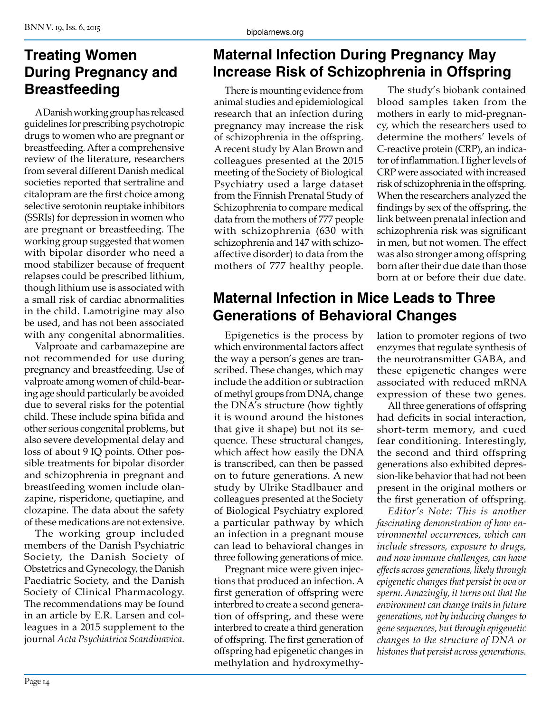# **Treating Women During Pregnancy and Breastfeeding**

A Danish working group has released guidelines for prescribing psychotropic drugs to women who are pregnant or breastfeeding. After a comprehensive review of the literature, researchers from several different Danish medical societies reported that sertraline and citalopram are the first choice among selective serotonin reuptake inhibitors (SSRIs) for depression in women who are pregnant or breastfeeding. The working group suggested that women with bipolar disorder who need a mood stabilizer because of frequent relapses could be prescribed lithium, though lithium use is associated with a small risk of cardiac abnormalities in the child. Lamotrigine may also be used, and has not been associated with any congenital abnormalities.

Valproate and carbamazepine are not recommended for use during pregnancy and breastfeeding. Use of valproate among women of child-bearing age should particularly be avoided due to several risks for the potential child. These include spina bifida and other serious congenital problems, but also severe developmental delay and loss of about 9 IQ points. Other possible treatments for bipolar disorder and schizophrenia in pregnant and breastfeeding women include olanzapine, risperidone, quetiapine, and clozapine. The data about the safety of these medications are not extensive.

The working group included members of the Danish Psychiatric Society, the Danish Society of Obstetrics and Gynecology, the Danish Paediatric Society, and the Danish Society of Clinical Pharmacology. The recommendations may be found in an article by E.R. Larsen and colleagues in a 2015 supplement to the journal *Acta Psychiatrica Scandinavica*.

# **Maternal Infection During Pregnancy May Increase Risk of Schizophrenia in Offspring**

There is mounting evidence from animal studies and epidemiological research that an infection during pregnancy may increase the risk of schizophrenia in the offspring. A recent study by Alan Brown and colleagues presented at the 2015 meeting of the Society of Biological Psychiatry used a large dataset from the Finnish Prenatal Study of Schizophrenia to compare medical data from the mothers of 777 people with schizophrenia (630 with schizophrenia and 147 with schizoaffective disorder) to data from the mothers of 777 healthy people.

# **Maternal Infection in Mice Leads to Three Generations of Behavioral Changes**

Epigenetics is the process by which environmental factors affect the way a person's genes are transcribed. These changes, which may include the addition or subtraction of methyl groups from DNA, change the DNA's structure (how tightly it is wound around the histones that give it shape) but not its sequence. These structural changes, which affect how easily the DNA is transcribed, can then be passed on to future generations. A new study by Ulrike Stadlbauer and colleagues presented at the Society of Biological Psychiatry explored a particular pathway by which an infection in a pregnant mouse can lead to behavioral changes in three following generations of mice.

Pregnant mice were given injections that produced an infection. A first generation of offspring were interbred to create a second generation of offspring, and these were interbred to create a third generation of offspring. The first generation of offspring had epigenetic changes in methylation and hydroxymethy-

The study's biobank contained blood samples taken from the mothers in early to mid-pregnancy, which the researchers used to determine the mothers' levels of C-reactive protein (CRP), an indicator of inflammation. Higher levels of CRP were associated with increased risk of schizophrenia in the offspring. When the researchers analyzed the findings by sex of the offspring, the link between prenatal infection and schizophrenia risk was significant in men, but not women. The effect was also stronger among offspring born after their due date than those born at or before their due date.

lation to promoter regions of two enzymes that regulate synthesis of the neurotransmitter GABA, and these epigenetic changes were associated with reduced mRNA expression of these two genes.

All three generations of offspring had deficits in social interaction, short-term memory, and cued fear conditioning. Interestingly, the second and third offspring generations also exhibited depression-like behavior that had not been present in the original mothers or the first generation of offspring.

*Editor's Note: This is another fascinating demonstration of how environmental occurrences, which can include stressors, exposure to drugs, and now immune challenges, can have effects across generations, likely through epigenetic changes that persist in ova or sperm. Amazingly, it turns out that the environment can change traits in future generations, not by inducing changes to gene sequences, but through epigenetic changes to the structure of DNA or histones that persist across generations.*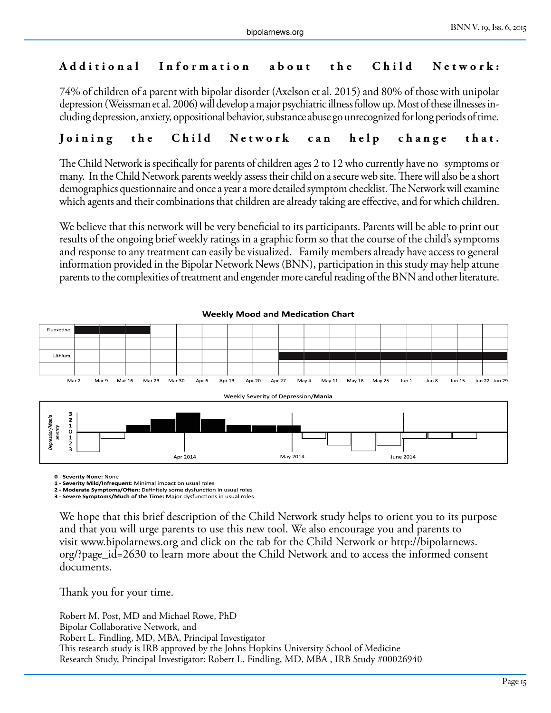#### **Additional Information about the Child Network:**

74% of children of a parent with bipolar disorder (Axelson et al. 2015) and 80% of those with unipolar depression (Weissman et al. 2006) will develop a major psychiatric illness follow up. Most of these illnesses including depression, anxiety, oppositional behavior, substance abuse go unrecognized for long periods of time.

#### **Joining the Child Network can help change that.**

The Child Network is specifically for parents of children ages 2 to 12 who currently have no symptoms or many. In the Child Network parents weekly assess their child on a secure web site. There will also be a short demographics questionnaire and once a year a more detailed symptom checklist. The Network will examine which agents and their combinations that children are already taking are effective, and for which children.

We believe that this network will be very beneficial to its participants. Parents will be able to print out results of the ongoing brief weekly ratings in a graphic form so that the course of the child's symptoms and response to any treatment can easily be visualized. Family members already have access to general information provided in the Bipolar Network News (BNN), participation in this study may help attune parents to the complexities of treatment and engender more careful reading of the BNN and other literature.



**0 - Severity None:** None

**1 - Severity Mild/Infrequent**: Minimal impact on usual roles

**2 - Moderate Symptoms/Often:** Definitely some dysfunction in usual roles **3 - Severe Symptoms/Much of the Time:** Major dysfunctions in usual roles

We hope that this brief description of the Child Network study helps to orient you to its purpose and that you will urge parents to use this new tool. We also encourage you and parents to visit www.bipolarnews.org and click on the tab for the Child Network or http://bipolarnews. org/?page\_id=2630 to learn more about the Child Network and to access the informed consent documents.

Thank you for your time.

Robert M. Post, MD and Michael Rowe, PhD Bipolar Collaborative Network, and Robert L. Findling, MD, MBA, Principal Investigator This research study is IRB approved by the Johns Hopkins University School of Medicine Research Study, Principal Investigator: Robert L. Findling, MD, MBA , IRB Study #00026940